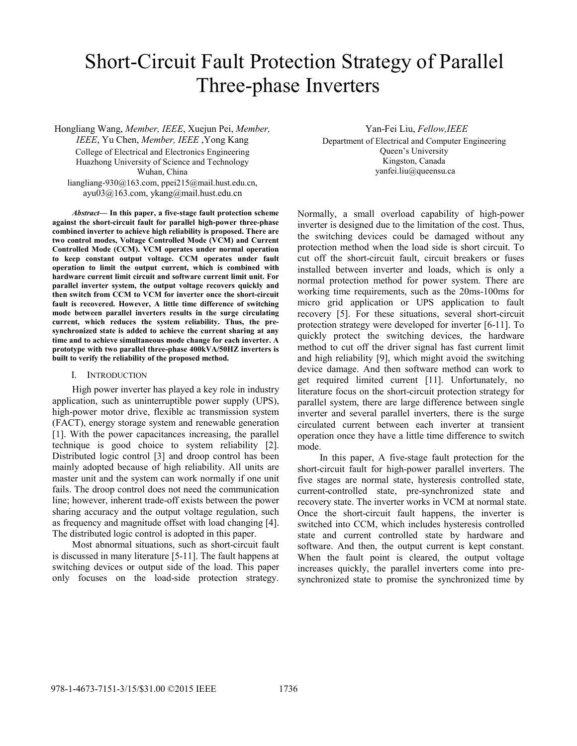# Short-Circuit Fault Protection Strategy of Parallel Three-phase Inverters

Hongliang Wang, *Member, IEEE*, Xuejun Pei, *Member, IEEE*, Yu Chen, *Member, IEEE* ,Yong Kang College of Electrical and Electronics Engineering Huazhong University of Science and Technology Wuhan, China liangliang-930@163.com, ppei215@mail.hust.edu.cn, ayu03@163.com, ykang@mail.hust.edu.cn

*Abstract***— In this paper, a five-stage fault protection scheme against the short-circuit fault for parallel high-power three-phase combined inverter to achieve high reliability is proposed. There are two control modes, Voltage Controlled Mode (VCM) and Current Controlled Mode (CCM). VCM operates under normal operation to keep constant output voltage. CCM operates under fault operation to limit the output current, which is combined with hardware current limit circuit and software current limit unit. For parallel inverter system, the output voltage recovers quickly and then switch from CCM to VCM for inverter once the short-circuit fault is recovered. However, A little time difference of switching mode between parallel inverters results in the surge circulating current, which reduces the system reliability. Thus, the presynchronized state is added to achieve the current sharing at any time and to achieve simultaneous mode change for each inverter. A prototype with two parallel three-phase 400kVA/50HZ inverters is built to verify the reliability of the proposed method.** 

### I. INTRODUCTION

High power inverter has played a key role in industry application, such as uninterruptible power supply (UPS), high-power motor drive, flexible ac transmission system (FACT), energy storage system and renewable generation [1]. With the power capacitances increasing, the parallel technique is good choice to system reliability [2]. Distributed logic control [3] and droop control has been mainly adopted because of high reliability. All units are master unit and the system can work normally if one unit fails. The droop control does not need the communication line; however, inherent trade-off exists between the power sharing accuracy and the output voltage regulation, such as frequency and magnitude offset with load changing [4]. The distributed logic control is adopted in this paper.

Most abnormal situations, such as short-circuit fault is discussed in many literature [5-11]. The fault happens at switching devices or output side of the load. This paper only focuses on the load-side protection strategy. Yan-Fei Liu, *Fellow,IEEE*

Department of Electrical and Computer Engineering Queen's University Kingston, Canada yanfei.liu@queensu.ca

Normally, a small overload capability of high-power inverter is designed due to the limitation of the cost. Thus, the switching devices could be damaged without any protection method when the load side is short circuit. To cut off the short-circuit fault, circuit breakers or fuses installed between inverter and loads, which is only a normal protection method for power system. There are working time requirements, such as the 20ms-100ms for micro grid application or UPS application to fault recovery [5]. For these situations, several short-circuit protection strategy were developed for inverter [6-11]. To quickly protect the switching devices, the hardware method to cut off the driver signal has fast current limit and high reliability [9], which might avoid the switching device damage. And then software method can work to get required limited current [11]. Unfortunately, no literature focus on the short-circuit protection strategy for parallel system, there are large difference between single inverter and several parallel inverters, there is the surge circulated current between each inverter at transient operation once they have a little time difference to switch mode.

 In this paper, A five-stage fault protection for the short-circuit fault for high-power parallel inverters. The five stages are normal state, hysteresis controlled state, current-controlled state, pre-synchronized state and recovery state. The inverter works in VCM at normal state. Once the short-circuit fault happens, the inverter is switched into CCM, which includes hysteresis controlled state and current controlled state by hardware and software. And then, the output current is kept constant. When the fault point is cleared, the output voltage increases quickly, the parallel inverters come into presynchronized state to promise the synchronized time by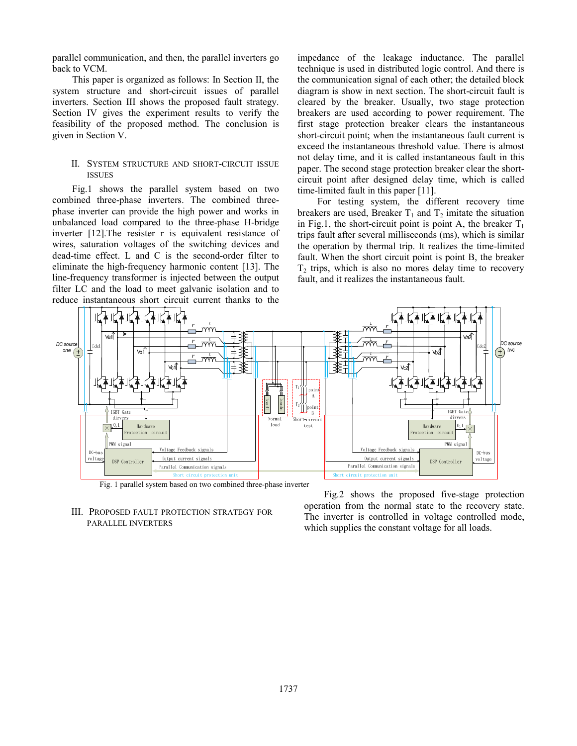parallel communication, and then, the parallel inverters go back to VCM.

This paper is organized as follows: In Section II, the system structure and short-circuit issues of parallel inverters. Section III shows the proposed fault strategy. Section IV gives the experiment results to verify the feasibility of the proposed method. The conclusion is given in Section V.

### II. SYSTEM STRUCTURE AND SHORT-CIRCUIT ISSUE ISSUES

Fig.1 shows the parallel system based on two combined three-phase inverters. The combined threephase inverter can provide the high power and works in unbalanced load compared to the three-phase H-bridge inverter [12].The resister r is equivalent resistance of wires, saturation voltages of the switching devices and dead-time effect. L and C is the second-order filter to eliminate the high-frequency harmonic content [13]. The line-frequency transformer is injected between the output filter LC and the load to meet galvanic isolation and to reduce instantaneous short circuit current thanks to the

impedance of the leakage inductance. The parallel technique is used in distributed logic control. And there is the communication signal of each other; the detailed block diagram is show in next section. The short-circuit fault is cleared by the breaker. Usually, two stage protection breakers are used according to power requirement. The first stage protection breaker clears the instantaneous short-circuit point; when the instantaneous fault current is exceed the instantaneous threshold value. There is almost not delay time, and it is called instantaneous fault in this paper. The second stage protection breaker clear the shortcircuit point after designed delay time, which is called time-limited fault in this paper [11].

For testing system, the different recovery time breakers are used, Breaker  $T_1$  and  $T_2$  imitate the situation in Fig.1, the short-circuit point is point A, the breaker  $T_1$ trips fault after several milliseconds (ms), which is similar the operation by thermal trip. It realizes the time-limited fault. When the short circuit point is point B, the breaker  $T<sub>2</sub>$  trips, which is also no mores delay time to recovery fault, and it realizes the instantaneous fault.



## III. PROPOSED FAULT PROTECTION STRATEGY FOR PARALLEL INVERTERS

Fig.2 shows the proposed five-stage protection operation from the normal state to the recovery state. The inverter is controlled in voltage controlled mode, which supplies the constant voltage for all loads.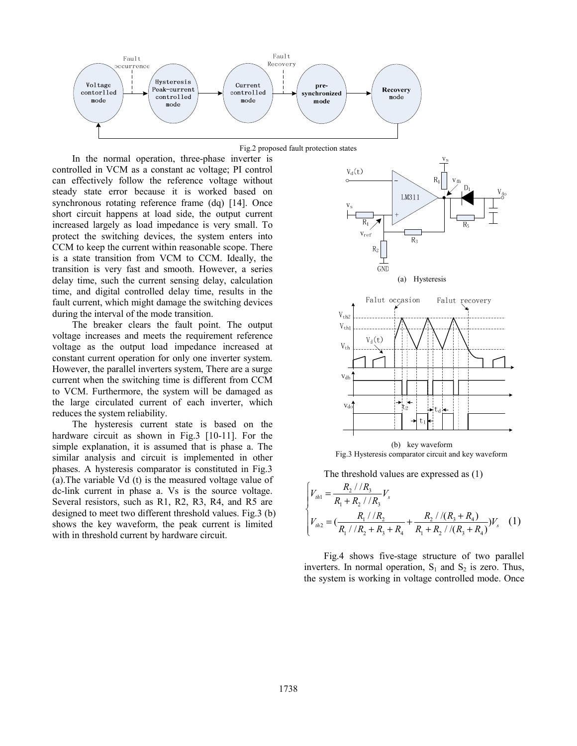

Fig.2 proposed fault protection states

In the normal operation, three-phase inverter is controlled in VCM as a constant ac voltage; PI control can effectively follow the reference voltage without steady state error because it is worked based on synchronous rotating reference frame (dq) [14]. Once short circuit happens at load side, the output current increased largely as load impedance is very small. To protect the switching devices, the system enters into CCM to keep the current within reasonable scope. There is a state transition from VCM to CCM. Ideally, the transition is very fast and smooth. However, a series delay time, such the current sensing delay, calculation time, and digital controlled delay time, results in the fault current, which might damage the switching devices during the interval of the mode transition.

The breaker clears the fault point. The output voltage increases and meets the requirement reference voltage as the output load impedance increased at constant current operation for only one inverter system. However, the parallel inverters system, There are a surge current when the switching time is different from CCM to VCM. Furthermore, the system will be damaged as the large circulated current of each inverter, which reduces the system reliability.

The hysteresis current state is based on the hardware circuit as shown in Fig.3 [10-11]. For the simple explanation, it is assumed that is phase a. The similar analysis and circuit is implemented in other phases. A hysteresis comparator is constituted in Fig.3 (a).The variable Vd (t) is the measured voltage value of dc-link current in phase a. Vs is the source voltage. Several resistors, such as R1, R2, R3, R4, and R5 are designed to meet two different threshold values. Fig.3 (b) shows the key waveform, the peak current is limited with in threshold current by hardware circuit.





The threshold values are expressed as (1)

$$
\begin{cases} V_{th1} = \frac{R_2 / / R_3}{R_1 + R_2 / / R_3} V_s \\ V_{th2} = \left(\frac{R_1 / / R_2}{R_1 / / R_2 + R_3 + R_4} + \frac{R_2 / / (R_3 + R_4)}{R_1 + R_2 / / (R_3 + R_4)}\right) V_s \end{cases}
$$
 (1)

Fig.4 shows five-stage structure of two parallel inverters. In normal operation,  $S_1$  and  $S_2$  is zero. Thus, the system is working in voltage controlled mode. Once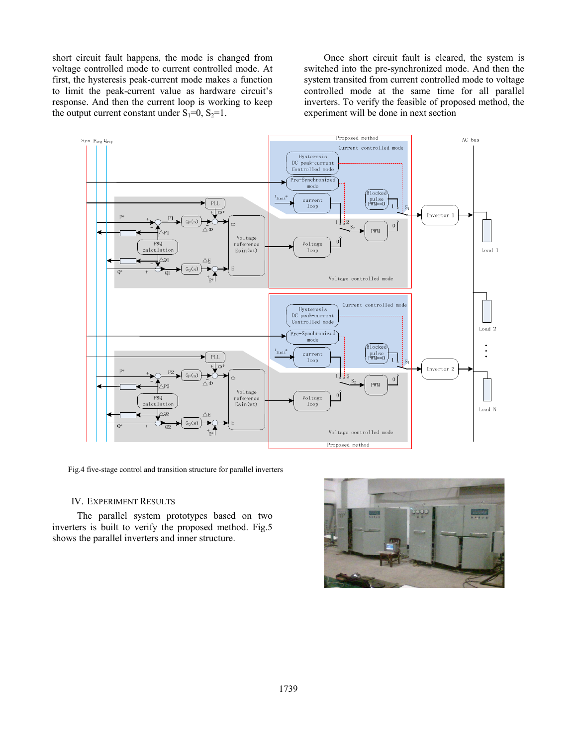short circuit fault happens, the mode is changed from voltage controlled mode to current controlled mode. At first, the hysteresis peak-current mode makes a function to limit the peak-current value as hardware circuit's response. And then the current loop is working to keep the output current constant under  $S_1=0$ ,  $S_2=1$ .

Once short circuit fault is cleared, the system is switched into the pre-synchronized mode. And then the system transited from current controlled mode to voltage controlled mode at the same time for all parallel inverters. To verify the feasible of proposed method, the experiment will be done in next section



Fig.4 five-stage control and transition structure for parallel inverters

#### IV. EXPERIMENT RESULTS

 The parallel system prototypes based on two inverters is built to verify the proposed method. Fig.5 shows the parallel inverters and inner structure.

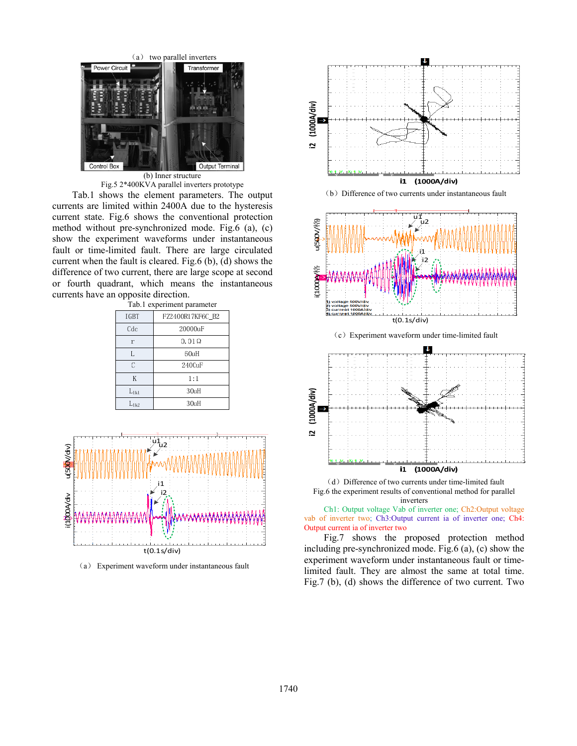

(b) Inner structure Fig.5 2\*400KVA parallel inverters prototype

Tab.1 shows the element parameters. The output currents are limited within 2400A due to the hysteresis current state. Fig.6 shows the conventional protection method without pre-synchronized mode. Fig.6 (a), (c) show the experiment waveforms under instantaneous fault or time-limited fault. There are large circulated current when the fault is cleared. Fig.6 (b), (d) shows the difference of two current, there are large scope at second or fourth quadrant, which means the instantaneous currents have an opposite direction.

| Tab.1 experiment parameter |                  |
|----------------------------|------------------|
| IGBT                       | FZ2400R17KF6C B2 |
| Cdc                        | 20000uF          |
| $\mathbf{r}$               | $0.01\Omega$     |
| L                          | 60uH             |
| C                          | 2400uF           |
| K                          | 1:1              |
| $L_{1k1}$                  | 30uH             |
| منط                        | 30πH             |



(a) Experiment waveform under instantaneous fault



(b) Difference of two currents under instantaneous fault



˄c˅Experiment waveform under time-limited fault



(d) Difference of two currents under time-limited fault Fig.6 the experiment results of conventional method for parallel inverters

Ch1: Output voltage Vab of inverter one; Ch2:Output voltage vab of inverter two; Ch3:Output current ia of inverter one; Ch4: Output current ia of inverter two

Fig.7 shows the proposed protection method including pre-synchronized mode. Fig.6 (a), (c) show the experiment waveform under instantaneous fault or timelimited fault. They are almost the same at total time. Fig.7 (b), (d) shows the difference of two current. Two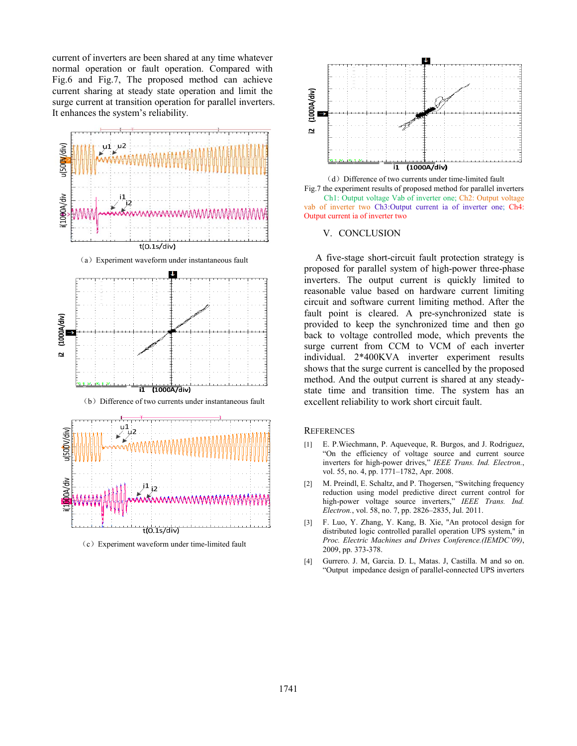current of inverters are been shared at any time whatever normal operation or fault operation. Compared with Fig.6 and Fig.7, The proposed method can achieve current sharing at steady state operation and limit the surge current at transition operation for parallel inverters. It enhances the system's reliability.



˄c˅Experiment waveform under time-limited fault



(d) Difference of two currents under time-limited fault Fig.7 the experiment results of proposed method for parallel inverters Ch1: Output voltage Vab of inverter one; Ch2: Output voltage vab of inverter two Ch3:Output current ia of inverter one; Ch4: Output current ia of inverter two

#### V. CONCLUSION

 A five-stage short-circuit fault protection strategy is proposed for parallel system of high-power three-phase inverters. The output current is quickly limited to reasonable value based on hardware current limiting circuit and software current limiting method. After the fault point is cleared. A pre-synchronized state is provided to keep the synchronized time and then go back to voltage controlled mode, which prevents the surge current from CCM to VCM of each inverter individual. 2\*400KVA inverter experiment results shows that the surge current is cancelled by the proposed method. And the output current is shared at any steadystate time and transition time. The system has an excellent reliability to work short circuit fault.

## **REFERENCES**

- [1] E. P.Wiechmann, P. Aqueveque, R. Burgos, and J. Rodriguez, "On the efficiency of voltage source and current source inverters for high-power drives," *IEEE Trans. Ind. Electron.*, vol. 55, no. 4, pp. 1771–1782, Apr. 2008.
- [2] M. Preindl, E. Schaltz, and P. Thogersen, "Switching frequency reduction using model predictive direct current control for high-power voltage source inverters," *IEEE Trans. Ind. Electron.*, vol. 58, no. 7, pp. 2826–2835, Jul. 2011.
- [3] F. Luo, Y. Zhang, Y. Kang, B. Xie, "An protocol design for distributed logic controlled parallel operation UPS system," in *Proc. Electric Machines and Drives Conference.(IEMDC'09)*, 2009, pp. 373-378.
- [4] Gurrero. J. M, Garcia. D. L, Matas. J, Castilla. M and so on. "Output impedance design of parallel-connected UPS inverters